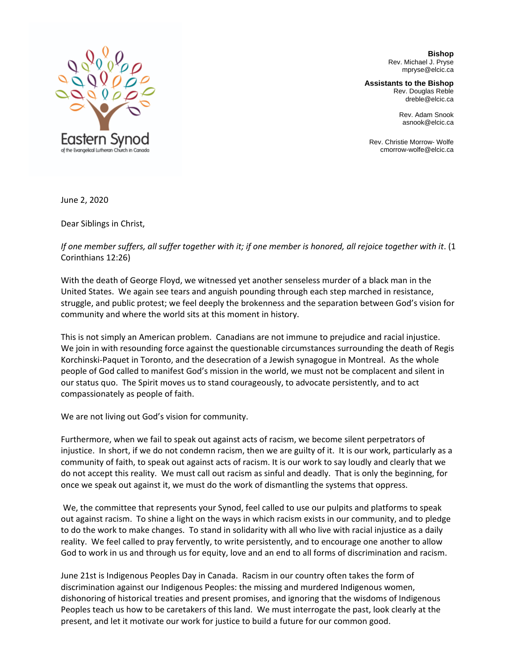

**Bishop** Rev. Michael J. Pryse mpryse@elcic.ca

**Assistants to the Bishop** Rev. Douglas Reble

dreble@elcic.ca

Rev. Adam Snook asnook@elcic.ca

Rev. Christie Morrow- Wolfe cmorrow-wolfe@elcic.ca

June 2, 2020

Dear Siblings in Christ,

*If one member suffers, all suffer together with it; if one member is honored, all rejoice together with it.* (1 Corinthians 12:26)

With the death of George Floyd, we witnessed yet another senseless murder of a black man in the United States. We again see tears and anguish pounding through each step marched in resistance, struggle, and public protest; we feel deeply the brokenness and the separation between God's vision for community and where the world sits at this moment in history.

This is not simply an American problem. Canadians are not immune to prejudice and racial injustice. We join in with resounding force against the questionable circumstances surrounding the death of Regis Korchinski-Paquet in Toronto, and the desecration of a Jewish synagogue in Montreal. As the whole people of God called to manifest God's mission in the world, we must not be complacent and silent in our status quo. The Spirit moves us to stand courageously, to advocate persistently, and to act compassionately as people of faith.

We are not living out God's vision for community.

Furthermore, when we fail to speak out against acts of racism, we become silent perpetrators of injustice. In short, if we do not condemn racism, then we are guilty of it. It is our work, particularly as a community of faith, to speak out against acts of racism. It is our work to say loudly and clearly that we do not accept this reality. We must call out racism as sinful and deadly. That is only the beginning, for once we speak out against it, we must do the work of dismantling the systems that oppress.

We, the committee that represents your Synod, feel called to use our pulpits and platforms to speak out against racism. To shine a light on the ways in which racism exists in our community, and to pledge to do the work to make changes. To stand in solidarity with all who live with racial injustice as a daily reality. We feel called to pray fervently, to write persistently, and to encourage one another to allow God to work in us and through us for equity, love and an end to all forms of discrimination and racism.

June 21st is Indigenous Peoples Day in Canada. Racism in our country often takes the form of discrimination against our Indigenous Peoples: the missing and murdered Indigenous women, dishonoring of historical treaties and present promises, and ignoring that the wisdoms of Indigenous Peoples teach us how to be caretakers of this land. We must interrogate the past, look clearly at the present, and let it motivate our work for justice to build a future for our common good.